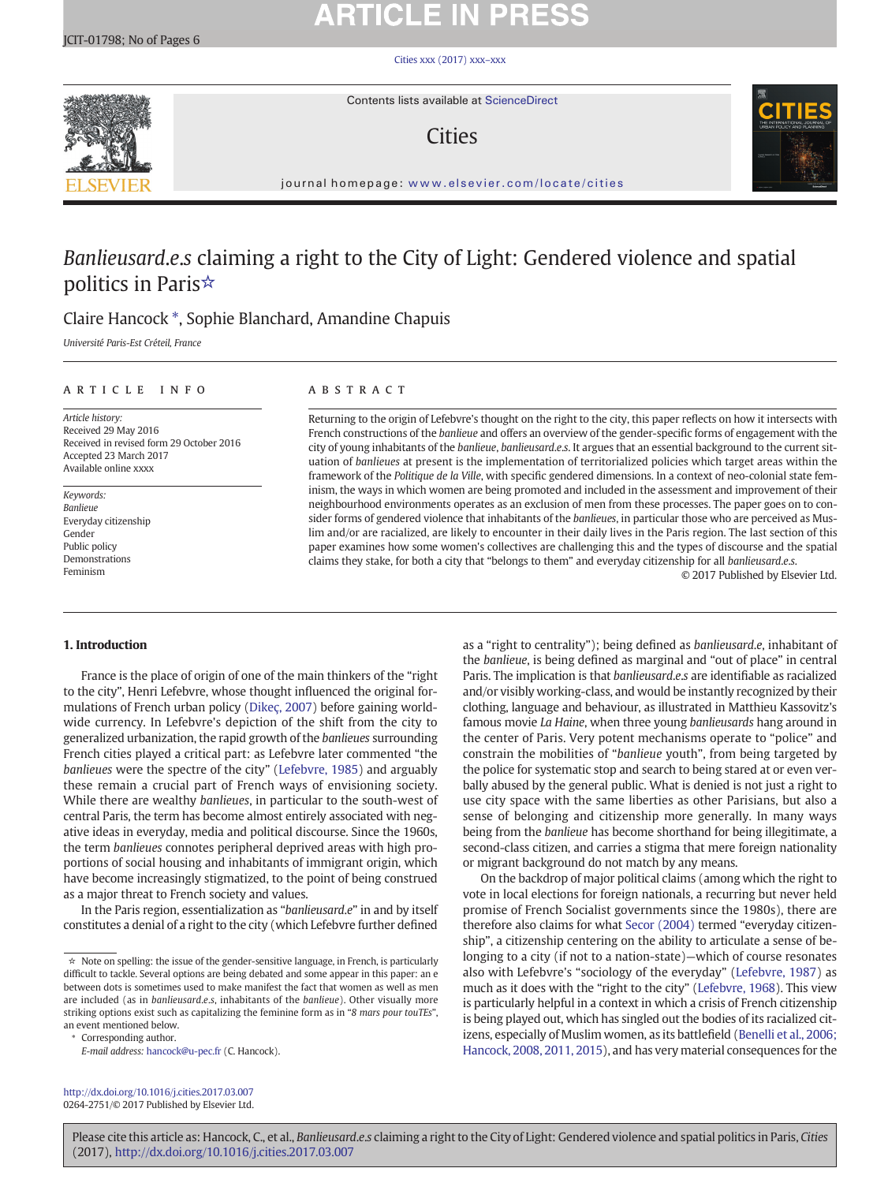[Cities xxx \(2017\) xxx](http://dx.doi.org/10.1016/j.cities.2017.03.007)–xxx



Contents lists available at ScienceDirect

## **Cities**



journal homepage: <www.elsevier.com/locate/cities>

## Banlieusard.e.s claiming a right to the City of Light: Gendered violence and spatial politics in Paris☆

## Claire Hancock ⁎, Sophie Blanchard, Amandine Chapuis

Université Paris-Est Créteil, France

### article info abstract

Article history: Received 29 May 2016 Received in revised form 29 October 2016 Accepted 23 March 2017 Available online xxxx

Keywords: Banlieue Everyday citizenship Gender Public policy Demonstrations Feminism

Returning to the origin of Lefebvre's thought on the right to the city, this paper reflects on how it intersects with French constructions of the banlieue and offers an overview of the gender-specific forms of engagement with the city of young inhabitants of the banlieue, banlieusard.e.s. It argues that an essential background to the current situation of banlieues at present is the implementation of territorialized policies which target areas within the framework of the Politique de la Ville, with specific gendered dimensions. In a context of neo-colonial state feminism, the ways in which women are being promoted and included in the assessment and improvement of their neighbourhood environments operates as an exclusion of men from these processes. The paper goes on to consider forms of gendered violence that inhabitants of the banlieues, in particular those who are perceived as Muslim and/or are racialized, are likely to encounter in their daily lives in the Paris region. The last section of this paper examines how some women's collectives are challenging this and the types of discourse and the spatial claims they stake, for both a city that "belongs to them" and everyday citizenship for all banlieusard.e.s.

© 2017 Published by Elsevier Ltd.

### 1. Introduction

France is the place of origin of one of the main thinkers of the "right to the city", Henri Lefebvre, whose thought influenced the original formulations of French urban policy [\(Dikeç, 2007](#page--1-0)) before gaining worldwide currency. In Lefebvre's depiction of the shift from the city to generalized urbanization, the rapid growth of the banlieues surrounding French cities played a critical part: as Lefebvre later commented "the banlieues were the spectre of the city" [\(Lefebvre, 1985](#page--1-0)) and arguably these remain a crucial part of French ways of envisioning society. While there are wealthy banlieues, in particular to the south-west of central Paris, the term has become almost entirely associated with negative ideas in everyday, media and political discourse. Since the 1960s, the term banlieues connotes peripheral deprived areas with high proportions of social housing and inhabitants of immigrant origin, which have become increasingly stigmatized, to the point of being construed as a major threat to French society and values.

In the Paris region, essentialization as "banlieusard.e" in and by itself constitutes a denial of a right to the city (which Lefebvre further defined

⁎ Corresponding author.

as a "right to centrality"); being defined as banlieusard.e, inhabitant of the banlieue, is being defined as marginal and "out of place" in central Paris. The implication is that banlieusard.e.s are identifiable as racialized and/or visibly working-class, and would be instantly recognized by their clothing, language and behaviour, as illustrated in Matthieu Kassovitz's famous movie La Haine, when three young banlieusards hang around in the center of Paris. Very potent mechanisms operate to "police" and constrain the mobilities of "banlieue youth", from being targeted by the police for systematic stop and search to being stared at or even verbally abused by the general public. What is denied is not just a right to use city space with the same liberties as other Parisians, but also a sense of belonging and citizenship more generally. In many ways being from the banlieue has become shorthand for being illegitimate, a second-class citizen, and carries a stigma that mere foreign nationality or migrant background do not match by any means.

On the backdrop of major political claims (among which the right to vote in local elections for foreign nationals, a recurring but never held promise of French Socialist governments since the 1980s), there are therefore also claims for what [Secor \(2004\)](#page--1-0) termed "everyday citizenship", a citizenship centering on the ability to articulate a sense of belonging to a city (if not to a nation-state)—which of course resonates also with Lefebvre's "sociology of the everyday" ([Lefebvre, 1987\)](#page--1-0) as much as it does with the "right to the city" [\(Lefebvre, 1968](#page--1-0)). This view is particularly helpful in a context in which a crisis of French citizenship is being played out, which has singled out the bodies of its racialized citizens, especially of Muslim women, as its battlefield ([Benelli et al., 2006;](#page--1-0) [Hancock, 2008, 2011, 2015](#page--1-0)), and has very material consequences for the

<http://dx.doi.org/10.1016/j.cities.2017.03.007> 0264-2751/© 2017 Published by Elsevier Ltd.

Please cite this article as: Hancock, C., et al., Banlieusard.e.s claiming a right to the City of Light: Gendered violence and spatial politics in Paris, Cities (2017), <http://dx.doi.org/10.1016/j.cities.2017.03.007>

<sup>☆</sup> Note on spelling: the issue of the gender-sensitive language, in French, is particularly difficult to tackle. Several options are being debated and some appear in this paper: an e between dots is sometimes used to make manifest the fact that women as well as men are included (as in banlieusard.e.s, inhabitants of the banlieue). Other visually more striking options exist such as capitalizing the feminine form as in "8 mars pour touTEs", an event mentioned below.

E-mail address: [hancock@u-pec.fr](mailto:hancock@u-pec.fr) (C. Hancock).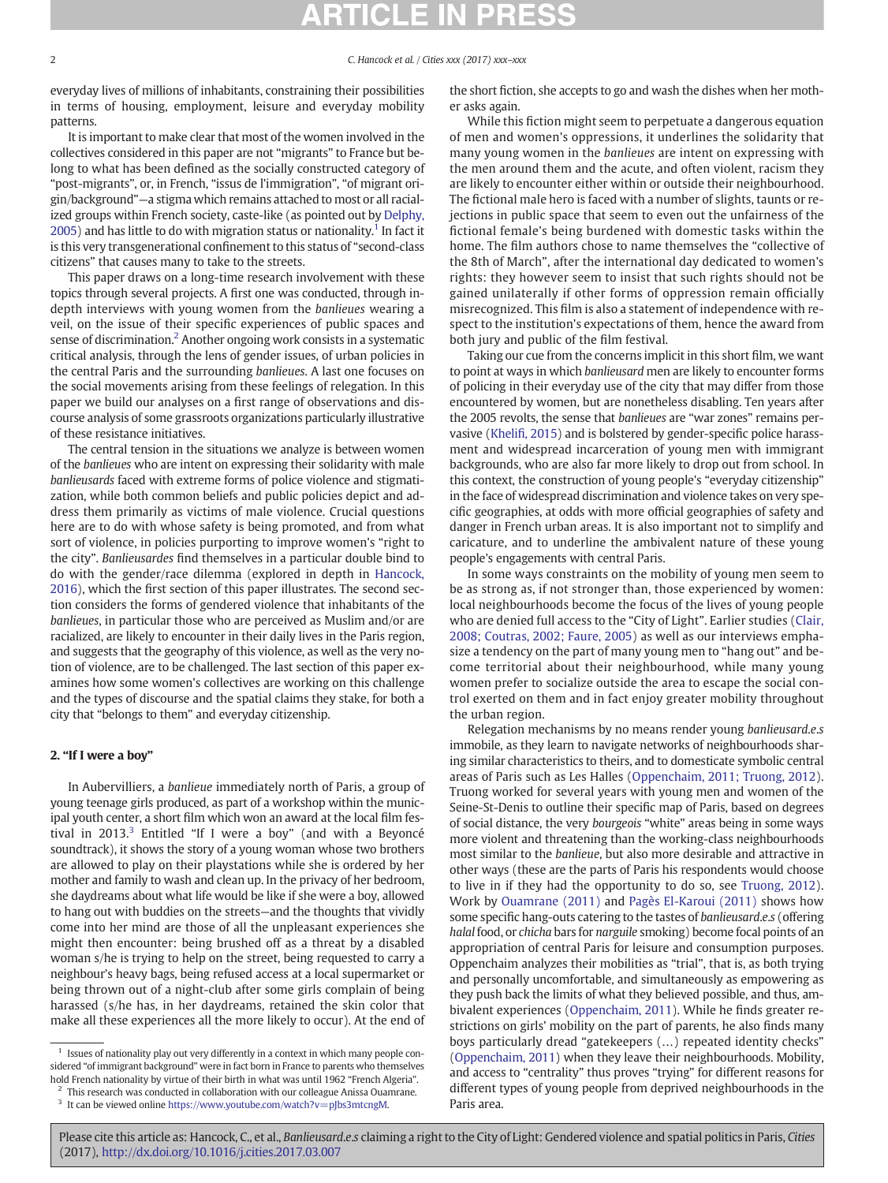2 C. Hancock et al. / Cities xxx (2017) xxx–xxx

everyday lives of millions of inhabitants, constraining their possibilities in terms of housing, employment, leisure and everyday mobility patterns.

It is important to make clear that most of the women involved in the collectives considered in this paper are not "migrants" to France but belong to what has been defined as the socially constructed category of "post-migrants", or, in French, "issus de l'immigration", "of migrant origin/background"—a stigma which remains attached to most or all racialized groups within French society, caste-like (as pointed out by [Delphy,](#page--1-0) [2005\)](#page--1-0) and has little to do with migration status or nationality.<sup>1</sup> In fact it is this very transgenerational confinement to this status of "second-class citizens" that causes many to take to the streets.

This paper draws on a long-time research involvement with these topics through several projects. A first one was conducted, through indepth interviews with young women from the banlieues wearing a veil, on the issue of their specific experiences of public spaces and sense of discrimination.2 Another ongoing work consists in a systematic critical analysis, through the lens of gender issues, of urban policies in the central Paris and the surrounding banlieues. A last one focuses on the social movements arising from these feelings of relegation. In this paper we build our analyses on a first range of observations and discourse analysis of some grassroots organizations particularly illustrative of these resistance initiatives.

The central tension in the situations we analyze is between women of the banlieues who are intent on expressing their solidarity with male banlieusards faced with extreme forms of police violence and stigmatization, while both common beliefs and public policies depict and address them primarily as victims of male violence. Crucial questions here are to do with whose safety is being promoted, and from what sort of violence, in policies purporting to improve women's "right to the city". Banlieusardes find themselves in a particular double bind to do with the gender/race dilemma (explored in depth in [Hancock,](#page--1-0) [2016\)](#page--1-0), which the first section of this paper illustrates. The second section considers the forms of gendered violence that inhabitants of the banlieues, in particular those who are perceived as Muslim and/or are racialized, are likely to encounter in their daily lives in the Paris region, and suggests that the geography of this violence, as well as the very notion of violence, are to be challenged. The last section of this paper examines how some women's collectives are working on this challenge and the types of discourse and the spatial claims they stake, for both a city that "belongs to them" and everyday citizenship.

### 2. "If I were a boy"

In Aubervilliers, a banlieue immediately north of Paris, a group of young teenage girls produced, as part of a workshop within the municipal youth center, a short film which won an award at the local film festival in 2013. $3$  Entitled "If I were a boy" (and with a Beyoncé soundtrack), it shows the story of a young woman whose two brothers are allowed to play on their playstations while she is ordered by her mother and family to wash and clean up. In the privacy of her bedroom, she daydreams about what life would be like if she were a boy, allowed to hang out with buddies on the streets—and the thoughts that vividly come into her mind are those of all the unpleasant experiences she might then encounter: being brushed off as a threat by a disabled woman s/he is trying to help on the street, being requested to carry a neighbour's heavy bags, being refused access at a local supermarket or being thrown out of a night-club after some girls complain of being harassed (s/he has, in her daydreams, retained the skin color that make all these experiences all the more likely to occur). At the end of

 $1$  Issues of nationality play out very differently in a context in which many people considered "of immigrant background" were in fact born in France to parents who themselves hold French nationality by virtue of their birth in what was until 1962 "French Algeria".

the short fiction, she accepts to go and wash the dishes when her mother asks again.

While this fiction might seem to perpetuate a dangerous equation of men and women's oppressions, it underlines the solidarity that many young women in the banlieues are intent on expressing with the men around them and the acute, and often violent, racism they are likely to encounter either within or outside their neighbourhood. The fictional male hero is faced with a number of slights, taunts or rejections in public space that seem to even out the unfairness of the fictional female's being burdened with domestic tasks within the home. The film authors chose to name themselves the "collective of the 8th of March", after the international day dedicated to women's rights: they however seem to insist that such rights should not be gained unilaterally if other forms of oppression remain officially misrecognized. This film is also a statement of independence with respect to the institution's expectations of them, hence the award from both jury and public of the film festival.

Taking our cue from the concerns implicit in this short film, we want to point at ways in which banlieusard men are likely to encounter forms of policing in their everyday use of the city that may differ from those encountered by women, but are nonetheless disabling. Ten years after the 2005 revolts, the sense that banlieues are "war zones" remains pervasive (Khelifi[, 2015\)](#page--1-0) and is bolstered by gender-specific police harassment and widespread incarceration of young men with immigrant backgrounds, who are also far more likely to drop out from school. In this context, the construction of young people's "everyday citizenship" in the face of widespread discrimination and violence takes on very specific geographies, at odds with more official geographies of safety and danger in French urban areas. It is also important not to simplify and caricature, and to underline the ambivalent nature of these young people's engagements with central Paris.

In some ways constraints on the mobility of young men seem to be as strong as, if not stronger than, those experienced by women: local neighbourhoods become the focus of the lives of young people who are denied full access to the "City of Light". Earlier studies ([Clair,](#page--1-0) [2008; Coutras, 2002; Faure, 2005](#page--1-0)) as well as our interviews emphasize a tendency on the part of many young men to "hang out" and become territorial about their neighbourhood, while many young women prefer to socialize outside the area to escape the social control exerted on them and in fact enjoy greater mobility throughout the urban region.

Relegation mechanisms by no means render young banlieusard.e.s immobile, as they learn to navigate networks of neighbourhoods sharing similar characteristics to theirs, and to domesticate symbolic central areas of Paris such as Les Halles [\(Oppenchaim, 2011; Truong, 2012](#page--1-0)). Truong worked for several years with young men and women of the Seine-St-Denis to outline their specific map of Paris, based on degrees of social distance, the very bourgeois "white" areas being in some ways more violent and threatening than the working-class neighbourhoods most similar to the banlieue, but also more desirable and attractive in other ways (these are the parts of Paris his respondents would choose to live in if they had the opportunity to do so, see [Truong, 2012](#page--1-0)). Work by [Ouamrane \(2011\)](#page--1-0) and [Pagès El-Karoui \(2011\)](#page--1-0) shows how some specific hang-outs catering to the tastes of banlieusard.e.s (offering halal food, or chicha bars for narguile smoking) become focal points of an appropriation of central Paris for leisure and consumption purposes. Oppenchaim analyzes their mobilities as "trial", that is, as both trying and personally uncomfortable, and simultaneously as empowering as they push back the limits of what they believed possible, and thus, ambivalent experiences [\(Oppenchaim, 2011\)](#page--1-0). While he finds greater restrictions on girls' mobility on the part of parents, he also finds many boys particularly dread "gatekeepers (…) repeated identity checks" [\(Oppenchaim, 2011\)](#page--1-0) when they leave their neighbourhoods. Mobility, and access to "centrality" thus proves "trying" for different reasons for different types of young people from deprived neighbourhoods in the Paris area.

 $2$  This research was conducted in collaboration with our colleague Anissa Ouamrane.

 $^3\,$  It can be viewed online [https://www.youtube.com/watch?v=pJbs3mtcngM.](http://www.haut-conseil-egalite.gouv.fr/stereotypes-et-roles-sociaux/travaux-du-hcefh-4/article/rapport-egaliter-combattre)